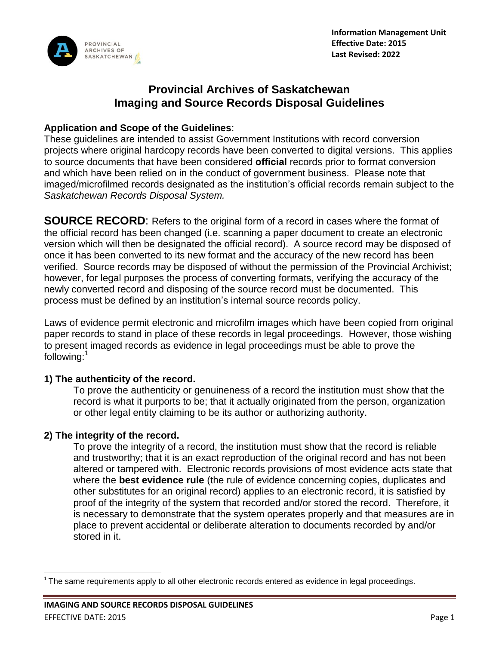

# **Provincial Archives of Saskatchewan Imaging and Source Records Disposal Guidelines**

#### **Application and Scope of the Guidelines**:

These guidelines are intended to assist Government Institutions with record conversion projects where original hardcopy records have been converted to digital versions. This applies to source documents that have been considered **official** records prior to format conversion and which have been relied on in the conduct of government business. Please note that imaged/microfilmed records designated as the institution's official records remain subject to the *Saskatchewan Records Disposal System.*

**SOURCE RECORD:** Refers to the original form of a record in cases where the format of the official record has been changed (i.e. scanning a paper document to create an electronic version which will then be designated the official record). A source record may be disposed of once it has been converted to its new format and the accuracy of the new record has been verified. Source records may be disposed of without the permission of the Provincial Archivist; however, for legal purposes the process of converting formats, verifying the accuracy of the newly converted record and disposing of the source record must be documented. This process must be defined by an institution's internal source records policy.

Laws of evidence permit electronic and microfilm images which have been copied from original paper records to stand in place of these records in legal proceedings. However, those wishing to present imaged records as evidence in legal proceedings must be able to prove the following:<sup>1</sup>

### **1) The authenticity of the record.**

To prove the authenticity or genuineness of a record the institution must show that the record is what it purports to be; that it actually originated from the person, organization or other legal entity claiming to be its author or authorizing authority.

### **2) The integrity of the record.**

To prove the integrity of a record, the institution must show that the record is reliable and trustworthy; that it is an exact reproduction of the original record and has not been altered or tampered with. Electronic records provisions of most evidence acts state that where the **best evidence rule** (the rule of evidence concerning copies, duplicates and other substitutes for an original record) applies to an electronic record, it is satisfied by proof of the integrity of the system that recorded and/or stored the record. Therefore, it is necessary to demonstrate that the system operates properly and that measures are in place to prevent accidental or deliberate alteration to documents recorded by and/or stored in it.

 $\overline{\phantom{a}}$  $1$  The same requirements apply to all other electronic records entered as evidence in legal proceedings.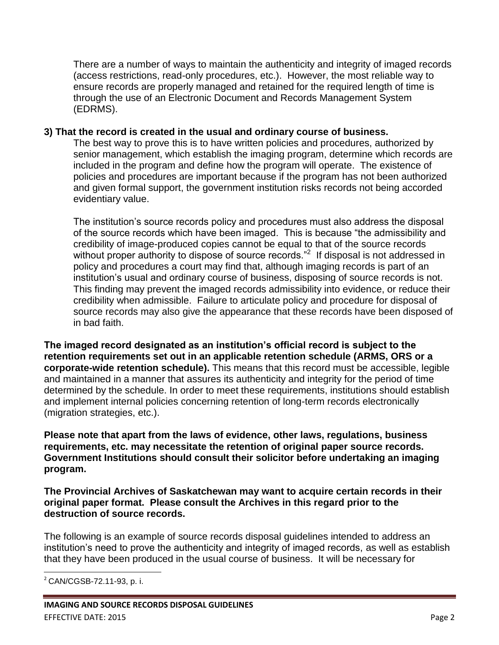There are a number of ways to maintain the authenticity and integrity of imaged records (access restrictions, read-only procedures, etc.). However, the most reliable way to ensure records are properly managed and retained for the required length of time is through the use of an Electronic Document and Records Management System (EDRMS).

#### **3) That the record is created in the usual and ordinary course of business.**

The best way to prove this is to have written policies and procedures, authorized by senior management, which establish the imaging program, determine which records are included in the program and define how the program will operate. The existence of policies and procedures are important because if the program has not been authorized and given formal support, the government institution risks records not being accorded evidentiary value.

The institution's source records policy and procedures must also address the disposal of the source records which have been imaged. This is because "the admissibility and credibility of image-produced copies cannot be equal to that of the source records without proper authority to dispose of source records."<sup>2</sup> If disposal is not addressed in policy and procedures a court may find that, although imaging records is part of an institution's usual and ordinary course of business, disposing of source records is not. This finding may prevent the imaged records admissibility into evidence, or reduce their credibility when admissible. Failure to articulate policy and procedure for disposal of source records may also give the appearance that these records have been disposed of in bad faith.

**The imaged record designated as an institution's official record is subject to the retention requirements set out in an applicable retention schedule (ARMS, ORS or a corporate-wide retention schedule).** This means that this record must be accessible, legible and maintained in a manner that assures its authenticity and integrity for the period of time determined by the schedule. In order to meet these requirements, institutions should establish and implement internal policies concerning retention of long-term records electronically (migration strategies, etc.).

**Please note that apart from the laws of evidence, other laws, regulations, business requirements, etc. may necessitate the retention of original paper source records. Government Institutions should consult their solicitor before undertaking an imaging program.**

**The Provincial Archives of Saskatchewan may want to acquire certain records in their original paper format. Please consult the Archives in this regard prior to the destruction of source records.**

The following is an example of source records disposal guidelines intended to address an institution's need to prove the authenticity and integrity of imaged records, as well as establish that they have been produced in the usual course of business. It will be necessary for

 $\overline{\phantom{a}}$ <sup>2</sup> CAN/CGSB-72.11-93, p. i.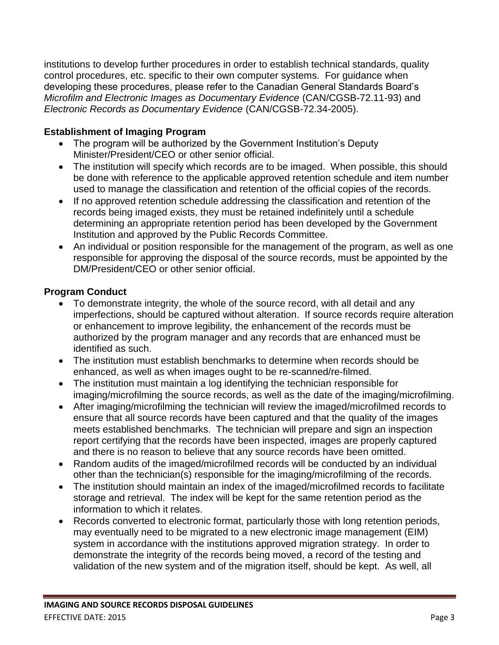institutions to develop further procedures in order to establish technical standards, quality control procedures, etc. specific to their own computer systems. For guidance when developing these procedures, please refer to the Canadian General Standards Board's *Microfilm and Electronic Images as Documentary Evidence* (CAN/CGSB-72.11-93) and *Electronic Records as Documentary Evidence* (CAN/CGSB-72.34-2005).

## **Establishment of Imaging Program**

- The program will be authorized by the Government Institution's Deputy Minister/President/CEO or other senior official.
- The institution will specify which records are to be imaged. When possible, this should be done with reference to the applicable approved retention schedule and item number used to manage the classification and retention of the official copies of the records.
- If no approved retention schedule addressing the classification and retention of the records being imaged exists, they must be retained indefinitely until a schedule determining an appropriate retention period has been developed by the Government Institution and approved by the Public Records Committee.
- An individual or position responsible for the management of the program, as well as one responsible for approving the disposal of the source records, must be appointed by the DM/President/CEO or other senior official.

## **Program Conduct**

- To demonstrate integrity, the whole of the source record, with all detail and any imperfections, should be captured without alteration. If source records require alteration or enhancement to improve legibility, the enhancement of the records must be authorized by the program manager and any records that are enhanced must be identified as such.
- The institution must establish benchmarks to determine when records should be enhanced, as well as when images ought to be re-scanned/re-filmed.
- The institution must maintain a log identifying the technician responsible for imaging/microfilming the source records, as well as the date of the imaging/microfilming.
- After imaging/microfilming the technician will review the imaged/microfilmed records to ensure that all source records have been captured and that the quality of the images meets established benchmarks. The technician will prepare and sign an inspection report certifying that the records have been inspected, images are properly captured and there is no reason to believe that any source records have been omitted.
- Random audits of the imaged/microfilmed records will be conducted by an individual other than the technician(s) responsible for the imaging/microfilming of the records.
- The institution should maintain an index of the imaged/microfilmed records to facilitate storage and retrieval. The index will be kept for the same retention period as the information to which it relates.
- Records converted to electronic format, particularly those with long retention periods, may eventually need to be migrated to a new electronic image management (EIM) system in accordance with the institutions approved migration strategy. In order to demonstrate the integrity of the records being moved, a record of the testing and validation of the new system and of the migration itself, should be kept. As well, all